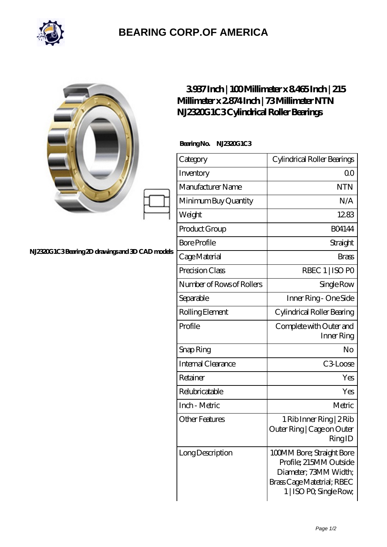

## **[BEARING CORP.OF AMERICA](https://m.bluemondayreview.com)**

|                                                  | 3937Inch   100Millimeter x 8465Inch   215<br>Millimeter x 2874 Inch   73 Millimeter NTN<br>N.IZ320G 1C3Cylindrical Roller Bearings |                                                                                                                                       |
|--------------------------------------------------|------------------------------------------------------------------------------------------------------------------------------------|---------------------------------------------------------------------------------------------------------------------------------------|
|                                                  | BearingNo.<br>N.ESAGIC3                                                                                                            |                                                                                                                                       |
|                                                  | Category                                                                                                                           | Cylindrical Roller Bearings                                                                                                           |
|                                                  | Inventory                                                                                                                          | 0 <sub>0</sub>                                                                                                                        |
|                                                  | Manufacturer Name                                                                                                                  | <b>NTN</b>                                                                                                                            |
|                                                  | Minimum Buy Quantity                                                                                                               | N/A                                                                                                                                   |
|                                                  | Weight                                                                                                                             | 1283                                                                                                                                  |
|                                                  | Product Group                                                                                                                      | <b>BO4144</b>                                                                                                                         |
|                                                  | <b>Bore Profile</b>                                                                                                                | Straight                                                                                                                              |
| N.12320G1C3Bearing 2D drawings and 3D CAD models | Cage Material                                                                                                                      | <b>Brass</b>                                                                                                                          |
|                                                  | Precision Class                                                                                                                    | RBEC 1   ISO PO                                                                                                                       |
|                                                  | Number of Rows of Rollers                                                                                                          | Single Row                                                                                                                            |
|                                                  | Separable                                                                                                                          | Inner Ring - One Side                                                                                                                 |
|                                                  | Rolling Element                                                                                                                    | Cylindrical Roller Bearing                                                                                                            |
|                                                  | Profile                                                                                                                            | Complete with Outer and<br>Inner Ring                                                                                                 |
|                                                  | Snap Ring                                                                                                                          | No                                                                                                                                    |
|                                                  | Internal Clearance                                                                                                                 | C3Loose                                                                                                                               |
|                                                  | Retainer                                                                                                                           | Yes                                                                                                                                   |
|                                                  | Relubricatable                                                                                                                     | Yes                                                                                                                                   |
|                                                  | Inch - Metric                                                                                                                      | Metric                                                                                                                                |
|                                                  | <b>Other Features</b>                                                                                                              | 1 Rib Inner Ring   2 Rib<br>Outer Ring   Cage on Outer<br>RingID                                                                      |
|                                                  | Long Description                                                                                                                   | 100MM Bore; Straight Bore<br>Profile; 215MM Outside<br>Diameter; 73MM Width;<br>Brass Cage Matetrial; RBEC<br>1   ISO PO, Single Row, |